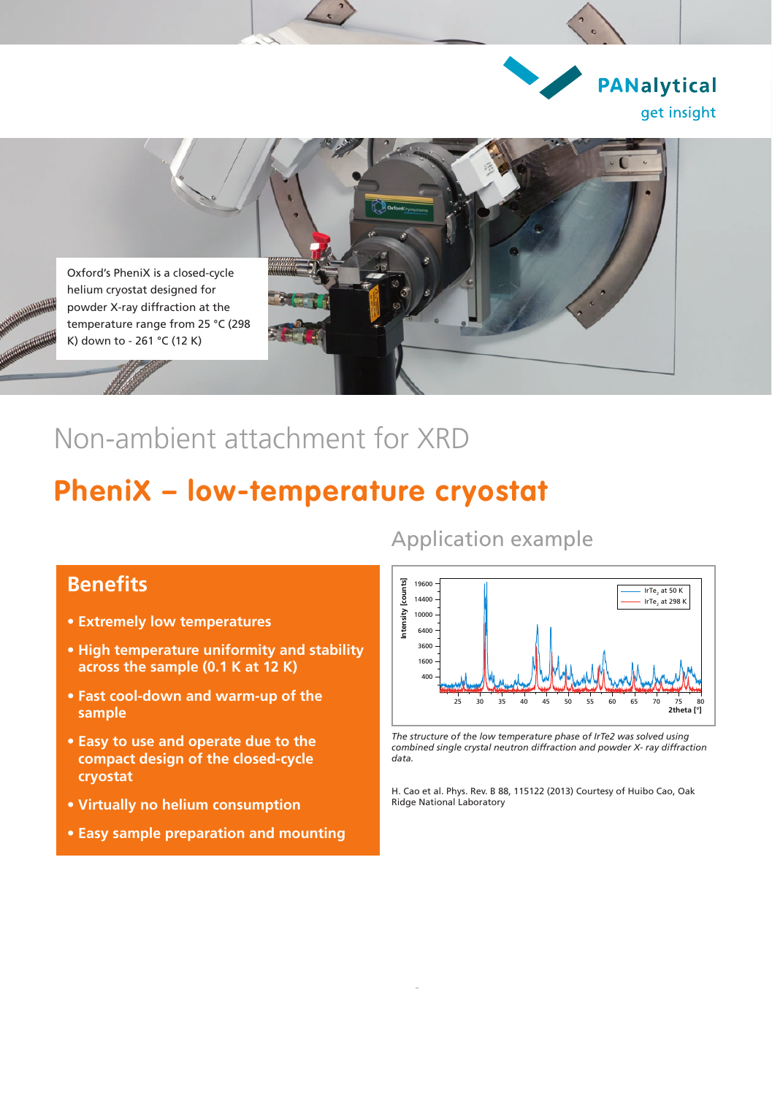



## Non-ambient attachment for XRD

## **PheniX – low-temperature cryostat**

#### **Benefits**

- **• Extremely low temperatures**
- **• High temperature uniformity and stability across the sample (0.1 K at 12 K)**
- **• Fast cool-down and warm-up of the sample**
- **• Easy to use and operate due to the compact design of the closed-cycle cryostat**
- **• Virtually no helium consumption**
- **• Easy sample preparation and mounting**

#### Application example



*The structure of the low temperature phase of IrTe2 was solved using combined single crystal neutron diffraction and powder X- ray diffraction data.*

H. Cao et al. Phys. Rev. B 88, 115122 (2013) Courtesy of Huibo Cao, Oak Ridge National Laboratory